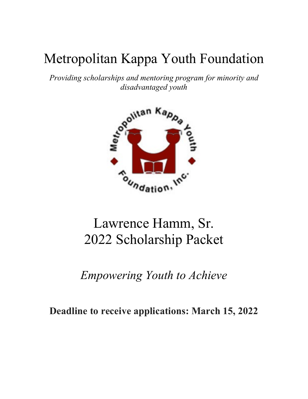# Metropolitan Kappa Youth Foundation

*Providing scholarships and mentoring program for minority and disadvantaged youth*



# Lawrence Hamm, Sr. 2022 Scholarship Packet

*Empowering Youth to Achieve* 

**Deadline to receive applications: March 15, 2022**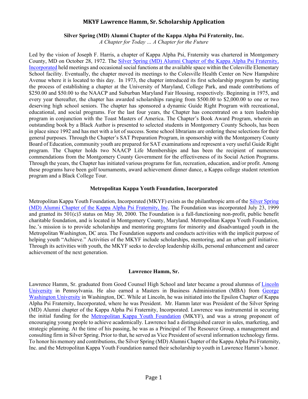#### **Silver Spring (MD) Alumni Chapter of the Kappa Alpha Psi Fraternity, Inc.**

*A Chapter for Today … A Chapter for the Future*

Led by the vision of Joseph F. Harris, a chapter of Kappa Alpha Psi, Fraternity was chartered in Montgomery County, MD on October 28, 1972. The [Silver Spring \(MD\) Alumni Chapter of the Kappa Alpha Psi Fraternity,](http://www.silverspringalumni.com/nupes/)  [Incorporated](http://www.silverspringalumni.com/nupes/) held meetings and occasional social functions at the available space within the Colesville Elementary School facility. Eventually, the chapter moved its meetings to the Colesville Health Center on New Hampshire Avenue where it is located to this day. In 1973, the chapter introduced its first scholarship program by starting the process of establishing a chapter at the University of Maryland, College Park, and made contributions of \$250.00 and \$50.00 to the NAACP and Suburban Maryland Fair Housing, respectively. Beginning in 1975, and every year thereafter, the chapter has awarded scholarships ranging from \$500.00 to \$2,000.00 to one or two deserving high school seniors. The chapter has sponsored a dynamic Guide Right Program with recreational, educational, and social programs. For the last four years, the Chapter has concentrated on a teen leadership program in conjunction with the Toast Masters of America. The Chapter's Book Award Program, wherein an outstanding book by a Black Author is presented to selected students in Montgomery County Schools, has been in place since 1992 and has met with a lot of success. Some school librarians are ordering these selections for their general purposes. Through the Chapter's SAT Preparation Program, in sponsorship with the Montgomery County Board of Education, community youth are prepared for SAT examinations and represent a very useful Guide Right program. The Chapter holds two NAACP Life Memberships and has been the recipient of numerous commendations from the Montgomery County Government for the effectiveness of its Social Action Programs. Through the years, the Chapter has initiated various programs for fun, recreation, education, and/or profit. Among these programs have been golf tournaments, award achievement dinner dance, a Kappa college student retention program and a Black College Tour.

#### **Metropolitan Kappa Youth Foundation, Incorporated**

Metropolitan Kappa Youth Foundation, Incorporated (MKYF) exists as the philanthropic arm of the [Silver Spring](http://www.silverspringalumni.com/)  [\(MD\) Alumni Chapter of the Kappa Alpha Psi Fraternity, Inc.](http://www.silverspringalumni.com/) The Foundation was incorporated July 23, 1999 and granted its 501(c)3 status on May 30, 2000. The Foundation is a full-functioning non-profit, public benefit charitable foundation, and is located in Montgomery County, Maryland. Metropolitan Kappa Youth Foundation, Inc.'s mission is to provide scholarships and mentoring programs for minority and disadvantaged youth in the Metropolitan Washington, DC area. The Foundation supports and conducts activities with the implicit purpose of helping youth "Achieve." Activities of the MKYF include scholarships, mentoring, and an urban golf initiative. Through its activities with youth, the MKYF seeks to develop leadership skills, personal enhancement and career achievement of the next generation.

#### **Lawrence Hamm, Sr.**

Lawrence Hamm, Sr. graduated from Good Counsel High School and later became a proud alumnus of [Lincoln](http://www.lincoln.edu/)  [University](http://www.lincoln.edu/) in Pennsylvania. He also earned a Masters in Business Administration (MBA) from [George](http://www.gwu.edu/)  [Washington University](http://www.gwu.edu/) in Washington, DC. While at Lincoln, he was initiated into the Epsilon Chapter of Kappa Alpha Psi Fraternity, Incorporated, where he was President. Mr. Hamm later was President of the Silver Spring (MD) Alumni chapter of the Kappa Alpha Psi Fraternity, Incorporated. Lawrence was instrumental in securing the initial funding for the [Metropolitan Kappa Youth Foundation](http://www.mkyf.org/) (MKYF), and was a strong proponent of encouraging young people to achieve academically. Lawrence had a distinguished career in sales, marketing, and strategic planning. At the time of his passing, he was as a Principal of The Resource Group, a management and consulting firm in Silver Spring. Prior to that, he served as Vice President of several information technology firms. To honor his memory and contributions, the Silver Spring (MD) Alumni Chapter of the Kappa Alpha Psi Fraternity, Inc. and the Metropolitan Kappa Youth Foundation named their scholarship to youth in Lawrence Hamm's honor.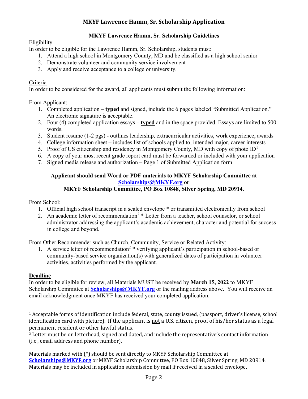# **MKYF Lawrence Hamm, Sr. Scholarship Guidelines**

#### **Eligibility**

In order to be eligible for the Lawrence Hamm, Sr. Scholarship, students must:

- 1. Attend a high school in Montgomery County, MD and be classified as a high school senior
- 2. Demonstrate volunteer and community service involvement
- 3. Apply and receive acceptance to a college or university.

#### Criteria

In order to be considered for the award, all applicants must submit the following information:

From Applicant:

- 1. Completed application **typed** and signed, include the 6 pages labeled "Submitted Application." An electronic signature is acceptable.
- 2. Four (4) completed application essays **typed** and in the space provided. Essays are limited to 500 words.
- 3. Student resume (1-2 pgs) outlines leadership, extracurricular activities, work experience, awards
- 4. College information sheet includes list of schools applied to, intended major, career interests
- 5. Proof of US citizenship and residency in Montgomery County, MD with copy of photo  $ID<sup>1</sup>$  $ID<sup>1</sup>$  $ID<sup>1</sup>$
- 6. A copy of your most recent grade report card must be forwarded or included with your application
- 7. Signed media release and authorization Page 1 of Submitted Application form

#### **Applicant should send Word or PDF materials to MKYF Scholarship Committee at [Scholarships@MKYF.org](mailto:Scholarships@MKYF.org) or**

# **MKYF Scholarship Committee, PO Box 10848, Silver Spring, MD 20914.**

From School:

- 1. Official high school transcript in a sealed envelope \* or transmitted electronically from school
- [2](#page-2-1). An academic letter of recommendation<sup>2</sup>  $*$  Letter from a teacher, school counselor, or school administrator addressing the applicant's academic achievement, character and potential for success in college and beyond.

From Other Recommender such as Church, Community, Service or Related Activity:

1. A service letter of recommendation<sup>2</sup> \* verifying applicant's participation in school-based or community-based service organization(s) with generalized dates of participation in volunteer activities, activities performed by the applicant.

#### **Deadline**

In order to be eligible for review, all Materials MUST be received by **March 15, 2022** to MKYF Scholarship Committee at **[Scholarships@MKYF.org](mailto:Scholarships@MKYF.org)** or the mailing address above. You will receive an email acknowledgment once MKYF has received your completed application.

<span id="page-2-0"></span><sup>1</sup> Acceptable forms of identification include federal, state, county issued, (passport, driver's license, school identification card with picture). If the applicant is not a U.S. citizen, proof of his/her status as a legal permanent resident or other lawful status.

<span id="page-2-1"></span><sup>2</sup> Letter must be on letterhead, signed and dated, and include the representative's contact information (i.e., email address and phone number).

Materials marked with (\*) should be sent directly to MKYF Scholarship Committee at **[Scholarships@MKYF.org](mailto:Scholarships@MKYF.org)** or MKYF Scholarship Committee, PO Box 10848, Silver Spring, MD 20914. Materials may be included in application submission by mail if received in a sealed envelope.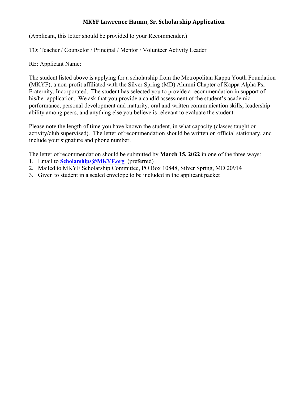(Applicant, this letter should be provided to your Recommender.)

TO: Teacher / Counselor / Principal / Mentor / Volunteer Activity Leader

RE: Applicant Name:

The student listed above is applying for a scholarship from the Metropolitan Kappa Youth Foundation (MKYF), a non-profit affiliated with the Silver Spring (MD) Alumni Chapter of Kappa Alpha Psi Fraternity, Incorporated. The student has selected you to provide a recommendation in support of his/her application. We ask that you provide a candid assessment of the student's academic performance, personal development and maturity, oral and written communication skills, leadership ability among peers, and anything else you believe is relevant to evaluate the student.

Please note the length of time you have known the student, in what capacity (classes taught or activity/club supervised). The letter of recommendation should be written on official stationary, and include your signature and phone number.

The letter of recommendation should be submitted by **March 15, 2022** in one of the three ways:

- 1. Email to **[Scholarships@MKYF.org](mailto:Scholarships@MKYF.org)** (preferred)
- 2. Mailed to MKYF Scholarship Committee, PO Box 10848, Silver Spring, MD 20914
- 3. Given to student in a sealed envelope to be included in the applicant packet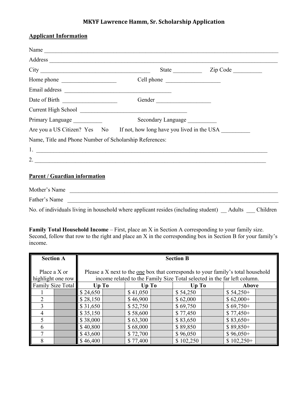#### **Applicant Information**

| Name                                                                                      |                    |                                               |
|-------------------------------------------------------------------------------------------|--------------------|-----------------------------------------------|
|                                                                                           |                    |                                               |
|                                                                                           |                    | State <u>Channell</u> Zip Code <u>Channel</u> |
| Home phone                                                                                | Cell phone         |                                               |
|                                                                                           |                    |                                               |
| Date of Birth                                                                             | Gender             |                                               |
|                                                                                           |                    |                                               |
| Primary Language                                                                          | Secondary Language |                                               |
| Are you a US Citizen? Yes No If not, how long have you lived in the USA                   |                    |                                               |
| Name, Title and Phone Number of Scholarship References:                                   |                    |                                               |
|                                                                                           |                    |                                               |
| 2.                                                                                        |                    |                                               |
| <b>Parent / Guardian information</b>                                                      |                    |                                               |
| Mother's Name                                                                             |                    |                                               |
| Father's Name                                                                             |                    |                                               |
| No. of individuals living in household where applicant resides (including student) Adults |                    | Children                                      |

**Family Total Household Income** – First, place an X in Section A corresponding to your family size. Second, follow that row to the right and place an X in the corresponding box in Section B for your family's income.

|                          | <b>Section A</b>                  | <b>Section B</b>                                                                                                                                                    |  |          |  |           |             |  |
|--------------------------|-----------------------------------|---------------------------------------------------------------------------------------------------------------------------------------------------------------------|--|----------|--|-----------|-------------|--|
|                          | Place a X or<br>highlight one row | Please a X next to the <u>one</u> box that corresponds to your family's total household<br>income related to the Family Size Total selected in the far left column. |  |          |  |           |             |  |
|                          | Family Size Total                 | Up To<br>Up To<br>Up To<br>Above                                                                                                                                    |  |          |  |           |             |  |
|                          |                                   | \$24,650                                                                                                                                                            |  | \$41,050 |  | \$54,250  | $$54,250+$  |  |
|                          |                                   | \$28,150                                                                                                                                                            |  | \$46,900 |  | \$62,000  | $$62,000+$  |  |
| 3                        |                                   | \$31,650                                                                                                                                                            |  | \$52,750 |  | \$69,750  | $$69,750+$  |  |
| 4                        |                                   | \$35,150                                                                                                                                                            |  | \$58,600 |  | \$77,450  | $$77,450+$  |  |
| $\overline{\mathcal{L}}$ |                                   | \$38,000                                                                                                                                                            |  | \$63,300 |  | \$83,650  | $$83,650+$  |  |
| 6                        |                                   | \$40,800                                                                                                                                                            |  | \$68,000 |  | \$89,850  | $$89,850+$  |  |
|                          |                                   | \$43,600                                                                                                                                                            |  | \$72,700 |  | \$96,050  | $$96,050+$  |  |
| 8                        |                                   | \$46,400                                                                                                                                                            |  | \$77,400 |  | \$102,250 | $$102,250+$ |  |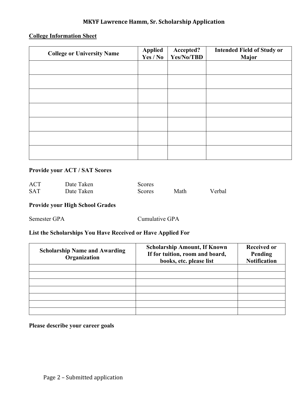# **College Information Sheet**

| <b>College or University Name</b> | <b>Applied</b><br>Yes / No | Accepted?<br>Yes/No/TBD | <b>Intended Field of Study or</b><br>Major |
|-----------------------------------|----------------------------|-------------------------|--------------------------------------------|
|                                   |                            |                         |                                            |
|                                   |                            |                         |                                            |
|                                   |                            |                         |                                            |
|                                   |                            |                         |                                            |
|                                   |                            |                         |                                            |
|                                   |                            |                         |                                            |
|                                   |                            |                         |                                            |

# **Provide your ACT / SAT Scores**

| <b>ACT</b> | Date Taken | Scores.       |      |        |
|------------|------------|---------------|------|--------|
| <b>SAT</b> | Date Taken | <b>Scores</b> | Math | Verbal |

# **Provide your High School Grades**

Semester GPA Cumulative GPA

# **List the Scholarships You Have Received or Have Applied For**

| <b>Scholarship Name and Awarding</b><br>Organization | <b>Scholarship Amount, If Known</b><br>If for tuition, room and board,<br>books, etc. please list | <b>Received or</b><br>Pending<br><b>Notification</b> |
|------------------------------------------------------|---------------------------------------------------------------------------------------------------|------------------------------------------------------|
|                                                      |                                                                                                   |                                                      |
|                                                      |                                                                                                   |                                                      |
|                                                      |                                                                                                   |                                                      |
|                                                      |                                                                                                   |                                                      |
|                                                      |                                                                                                   |                                                      |

# **Please describe your career goals**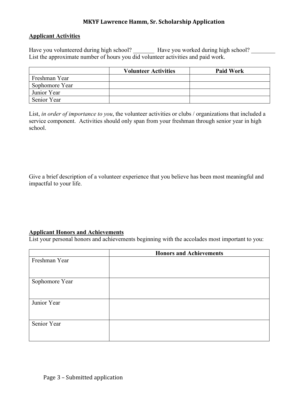#### **Applicant Activities**

Have you volunteered during high school? \_\_\_\_\_\_\_\_ Have you worked during high school? \_\_\_\_\_\_\_\_ List the approximate number of hours you did volunteer activities and paid work.

|                | <b>Volunteer Activities</b> | <b>Paid Work</b> |
|----------------|-----------------------------|------------------|
| Freshman Year  |                             |                  |
| Sophomore Year |                             |                  |
| Junior Year    |                             |                  |
| Senior Year    |                             |                  |

List, *in order of importance to you*, the volunteer activities or clubs / organizations that included a service component. Activities should only span from your freshman through senior year in high school.

Give a brief description of a volunteer experience that you believe has been most meaningful and impactful to your life.

#### **Applicant Honors and Achievements**

List your personal honors and achievements beginning with the accolades most important to you:

|                | <b>Honors and Achievements</b> |
|----------------|--------------------------------|
| Freshman Year  |                                |
|                |                                |
|                |                                |
| Sophomore Year |                                |
|                |                                |
|                |                                |
| Junior Year    |                                |
|                |                                |
|                |                                |
| Senior Year    |                                |
|                |                                |
|                |                                |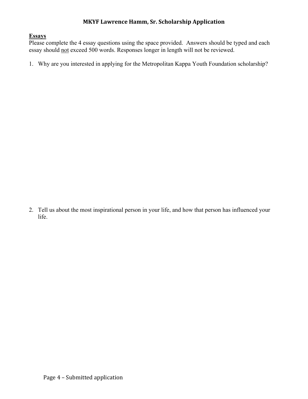#### **Essays**

Please complete the 4 essay questions using the space provided. Answers should be typed and each essay should not exceed 500 words. Responses longer in length will not be reviewed.

1. Why are you interested in applying for the Metropolitan Kappa Youth Foundation scholarship?

2. Tell us about the most inspirational person in your life, and how that person has influenced your life.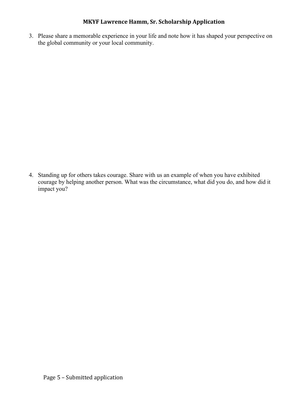3. Please share a memorable experience in your life and note how it has shaped your perspective on the global community or your local community.

4. Standing up for others takes courage. Share with us an example of when you have exhibited courage by helping another person. What was the circumstance, what did you do, and how did it impact you?